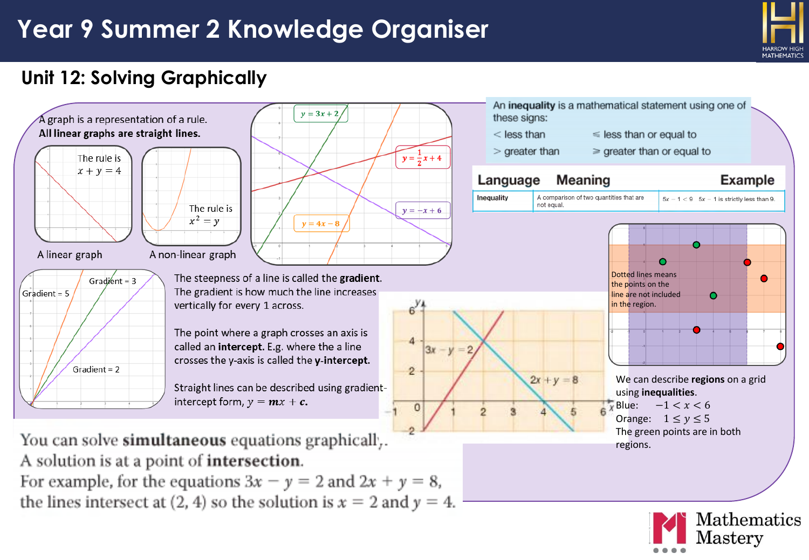

Mathematics

 $\rm Masterv$ 

#### **Unit 12: Solving Graphically**



For example, for the equations  $3x - y = 2$  and  $2x + y = 8$ , the lines intersect at (2, 4) so the solution is  $x = 2$  and  $y = 4$ .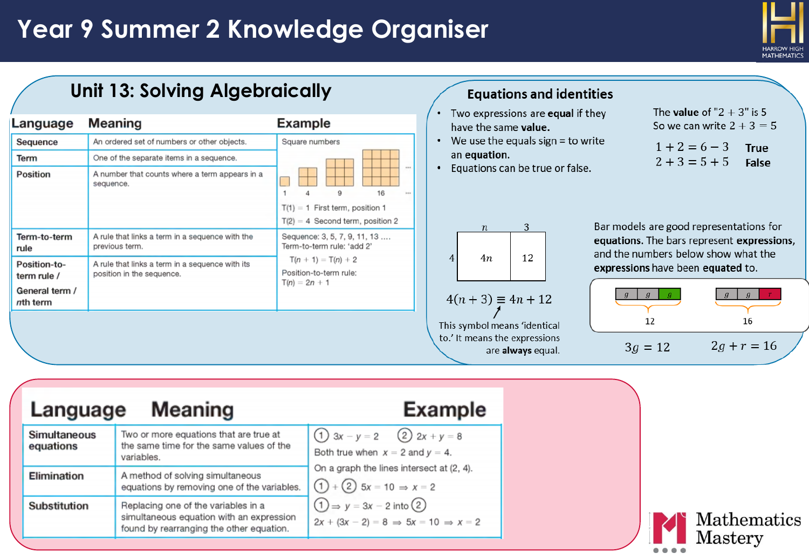

Mathematics

Mastery

|                                                                       | <b>Unit 13: Solving Algebraically</b>                                                                                                                  |                                                                                                                                                                        | <b>Equations and identities</b><br>The <b>value</b> of " $2 + 3$ " is 5                                                                                                                                |
|-----------------------------------------------------------------------|--------------------------------------------------------------------------------------------------------------------------------------------------------|------------------------------------------------------------------------------------------------------------------------------------------------------------------------|--------------------------------------------------------------------------------------------------------------------------------------------------------------------------------------------------------|
| Language                                                              | Meaning                                                                                                                                                | <b>Example</b>                                                                                                                                                         | Two expressions are equal if they<br>$\bullet$<br>So we can write $2 + 3 = 5$<br>have the same value.                                                                                                  |
| Sequence<br>Term<br>Position                                          | An ordered set of numbers or other objects.<br>One of the separate items in a sequence.<br>A number that counts where a term appears in a<br>sequence. | Square numbers<br>16<br>$\overline{1}$<br>$T(1) = 1$ First term, position 1                                                                                            | We use the equals sign = to write<br>$\bullet$<br>$1+2=6-3$<br><b>True</b><br>an equation.<br>$2 + 3 = 5 + 5$<br>False<br>Equations can be true or false.                                              |
| Term-to-term<br>rule<br>Position-to-<br>term rule /<br>General term / | A rule that links a term in a sequence with the<br>previous term.<br>A rule that links a term in a sequence with its<br>position in the sequence.      | $T(2) = 4$ Second term, position 2<br>Sequence: 3, 5, 7, 9, 11, 13<br>Term-to-term rule: 'add 2'<br>$T(n + 1) = T(n) + 2$<br>Position-to-term rule:<br>$T(n) = 2n + 1$ | Bar models are good representations for<br>3<br>$\boldsymbol{n}$<br>equations. The bars represent expressions,<br>and the numbers below show what the<br>12<br>4n<br>expressions have been equated to. |
| nth term                                                              |                                                                                                                                                        |                                                                                                                                                                        | $4(n + 3) \equiv 4n + 12$<br>12<br>16<br>This symbol means 'identical<br>to.' It means the expressions<br>$2g + r = 16$<br>$3g = 12$<br>are always equal.                                              |
| Language                                                              | <b>Meaning</b>                                                                                                                                         |                                                                                                                                                                        | Example                                                                                                                                                                                                |

| Language                  | Meaning                                                                                                                     | <b>Example</b>                                                                                                         |  |  |
|---------------------------|-----------------------------------------------------------------------------------------------------------------------------|------------------------------------------------------------------------------------------------------------------------|--|--|
| Simultaneous<br>equations | Two or more equations that are true at<br>the same time for the same values of the<br>variables.                            | (1) $3x - y = 2$ (2) $2x + y = 8$<br>Both true when $x = 2$ and $y = 4$ .                                              |  |  |
| Elimination               | A method of solving simultaneous<br>equations by removing one of the variables.                                             | On a graph the lines intersect at (2, 4).<br>$(1) + (2)$ 5x = 10 $\Rightarrow$ x = 2                                   |  |  |
| Substitution              | Replacing one of the variables in a<br>simultaneous equation with an expression<br>found by rearranging the other equation. | $\textcircled{1} \Rightarrow y = 3x - 2$ into $\textcircled{2}$<br>$2x + (3x - 2) = 8 \implies 5x = 10 \implies x = 2$ |  |  |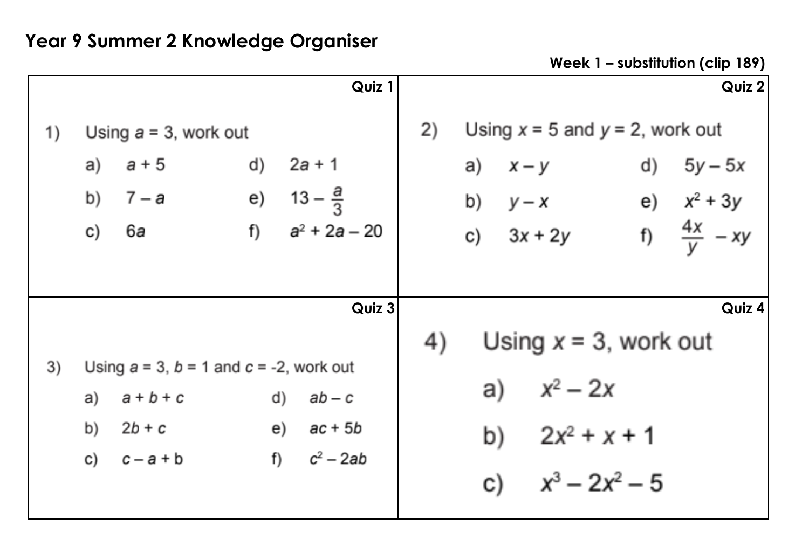**Week 1 – substitution (clip 189)** 

|        |    |                                                 |    | Quiz 1                |    |    |              |                                      |    | Quiz 2                 |
|--------|----|-------------------------------------------------|----|-----------------------|----|----|--------------|--------------------------------------|----|------------------------|
| 1)     |    | Using $a = 3$ , work out                        |    |                       | 2) |    |              | Using $x = 5$ and $y = 2$ , work out |    |                        |
|        | a) | $a + 5$                                         | d) | $2a + 1$              |    | a) | $x - y$      |                                      | d) | $5y - 5x$              |
|        | b) | 7 — a                                           |    | e) $13 - \frac{a}{3}$ |    |    | b) $y-x$     |                                      |    | e) $x^2 + 3y$          |
|        | c) | 6а                                              | f) | $a^2 + 2a - 20$       |    |    | c) $3x + 2y$ |                                      |    | f) $\frac{4x}{V}$ - xy |
|        |    |                                                 |    |                       |    |    |              |                                      |    |                        |
| Quiz 3 |    |                                                 |    |                       |    |    |              | Quiz 4                               |    |                        |
|        |    |                                                 |    |                       | 4) |    |              | Using $x = 3$ , work out             |    |                        |
| 3)     |    | Using $a = 3$ , $b = 1$ and $c = -2$ , work out |    |                       |    |    |              |                                      |    |                        |
|        | a) | $a + b + c$                                     | d) | $ab - c$              |    | a) |              | $x^2 - 2x$                           |    |                        |
|        | b) | $2b + c$                                        |    | ac + 5b<br>e)         |    | b) |              | $2x^2 + x + 1$                       |    |                        |
|        | C) | $c - a + b$                                     |    | f) $c^2 - 2ab$        |    |    |              |                                      |    |                        |
|        |    |                                                 |    |                       |    | C) |              | $x^3 - 2x^2 - 5$                     |    |                        |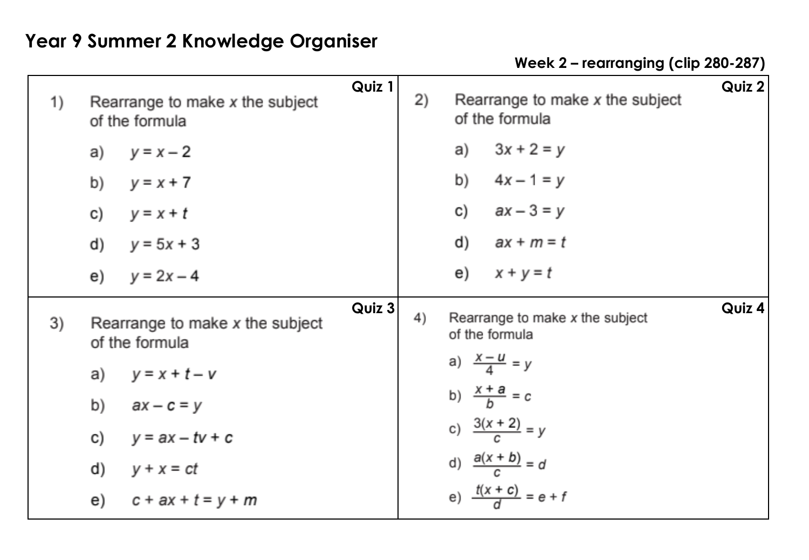**Week 2 – rearranging (clip 280-287)** 

| 1) | Rearrange to make x the subject<br>of the formula | Quiz 1 | 2)           | Rearrange to make x the subject<br>of the formula | Quiz 2 |
|----|---------------------------------------------------|--------|--------------|---------------------------------------------------|--------|
|    | $y = x - 2$<br>a)                                 |        |              | $3x + 2 = y$<br>a)                                |        |
|    | $y = x + 7$<br>b)                                 |        |              | b)<br>$4x - 1 = y$                                |        |
|    | $y = x + t$<br>C)                                 |        |              | c) $ax - 3 = y$                                   |        |
|    | $y = 5x + 3$<br>d)                                |        |              | d)<br>ax + m = t                                  |        |
|    | $y = 2x - 4$<br>e)                                |        |              | e) $x + y = t$                                    |        |
| 3) | Rearrange to make x the subject<br>of the formula |        | Quiz 3<br>4) | Rearrange to make x the subject<br>of the formula | Quiz 4 |
|    | $y = x + t - v$<br>a)                             |        |              | a) $\frac{x-u}{4} = y$                            |        |
|    | b)<br>$ax - c = y$                                |        |              | b) $\frac{x+a}{b} = c$                            |        |
|    | $y = ax - tv + c$<br>C)                           |        |              | c) $\frac{3(x + 2)}{c} = y$                       |        |
|    | d)<br>$y + x = ct$                                |        |              | d) $\frac{a(x + b)}{c} = d$                       |        |
|    | e)<br>$c + ax + t = y + m$                        |        |              | e) $\frac{t(x + c)}{d} = e + f$                   |        |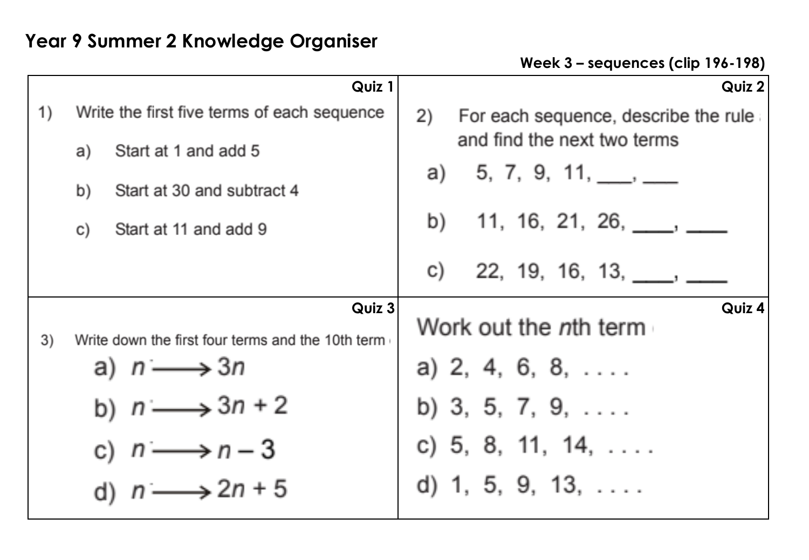**Week 3 – sequences (clip 196-198)** 

|    | Quiz 1                                                      | Quiz $2$                                   |
|----|-------------------------------------------------------------|--------------------------------------------|
| 1) | Write the first five terms of each sequence                 | 2)<br>For each sequence, describe the rule |
|    | Start at 1 and add 5<br>a)                                  | and find the next two terms                |
|    | Start at 30 and subtract 4<br>b)                            | a) 5, 7, 9, 11, $\_\_\_\_$                 |
|    | Start at 11 and add 9<br>C)                                 | b) 11, 16, 21, 26, $\qquad \qquad$         |
|    |                                                             | 22, 19, 16, 13,<br>C)                      |
| 3) | Quiz 3<br>Write down the first four terms and the 10th term | Quiz 4<br>Work out the <i>n</i> th term    |
|    | a) $n \longrightarrow 3n$                                   | a) $2, 4, 6, 8, \ldots$                    |
|    | b) $n \longrightarrow 3n + 2$                               | b) 3, 5, 7, 9, $\dots$                     |
|    | c) $n \longrightarrow n-3$                                  | c) 5, 8, 11, 14, $\dots$                   |
|    | $n \longrightarrow 2n + 5$                                  | d) 1, 5, 9, 13, $\dots$                    |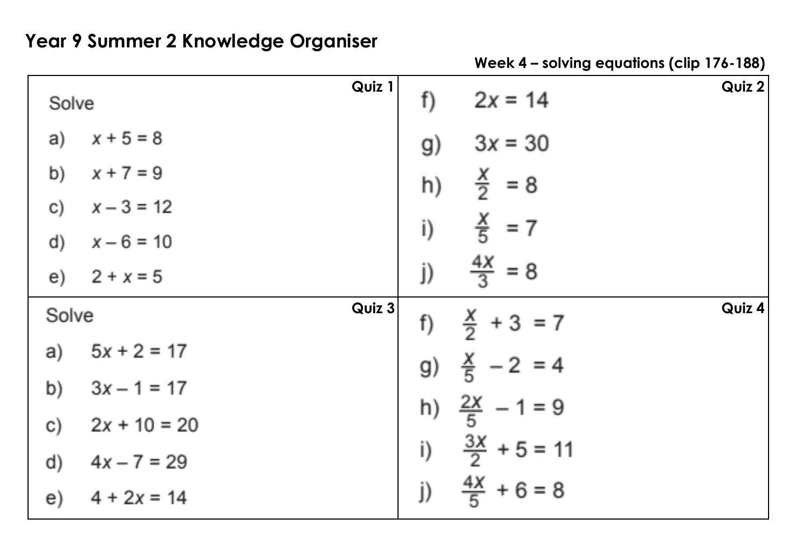| Solve                          | Quiz 1 | $2x = 14$<br>f)               | Quiz 2 |
|--------------------------------|--------|-------------------------------|--------|
| a) $x + 5 = 8$                 |        | $3x = 30$<br>g)               |        |
| b)<br>$x + 7 = 9$              |        | $\frac{x}{2}$ = 8<br>h)       |        |
| $x - 3 = 12$<br>$\mathsf{C}$   |        |                               |        |
| d) $x - 6 = 10$                |        | $\frac{X}{5}$ = 7<br>i)       |        |
| e) $2 + x = 5$                 |        | $\frac{4x}{3} = 8$<br>j)      |        |
| Solve                          | Quiz 3 | $\frac{X}{2}$ + 3 = 7<br>f)   | Quiz 4 |
| a) $5x + 2 = 17$               |        | g) $\frac{X}{5}$ - 2 = 4      |        |
| b) $3x - 1 = 17$               |        |                               |        |
| $2x + 10 = 20$<br>$\mathsf{C}$ |        | h) $\frac{2X}{5}$ - 1 = 9     |        |
| $4x - 7 = 29$<br>d)            |        | $\frac{3X}{2}$ + 5 = 11<br>i) |        |
| $4 + 2x = 14$<br>e)            |        | $\frac{4X}{5} + 6 = 8$<br>j)  |        |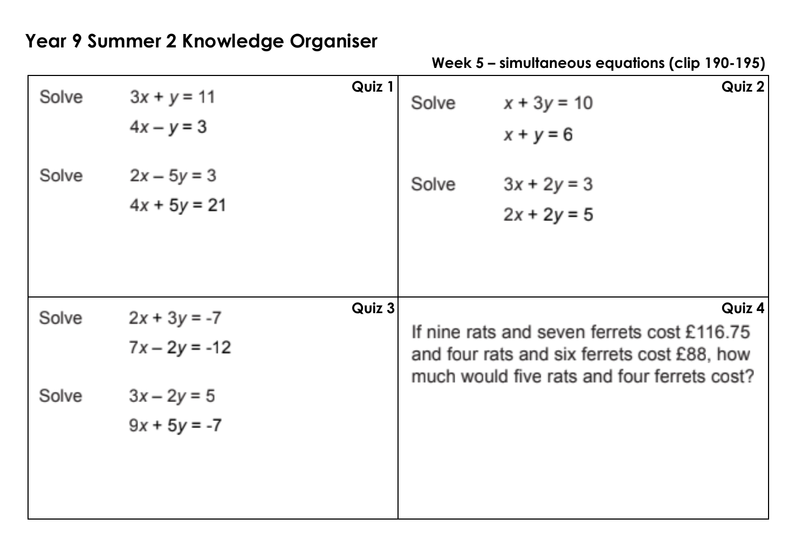**Week 5 – simultaneous equations (clip 190-195)** 

| Solve | $3x + y = 11$<br>$4x - y = 3$     | Quiz 1 | Solve                                                                                                                                               | Quiz 2<br>$x + 3y = 10$<br>$x + y = 6$ |  |  |  |
|-------|-----------------------------------|--------|-----------------------------------------------------------------------------------------------------------------------------------------------------|----------------------------------------|--|--|--|
| Solve | $2x - 5y = 3$<br>$4x + 5y = 21$   |        | Solve                                                                                                                                               | $3x + 2y = 3$<br>$2x + 2y = 5$         |  |  |  |
| Solve | $2x + 3y = -7$<br>$7x - 2y = -12$ | Quiz 3 | Quiz 4<br>If nine rats and seven ferrets cost £116.75<br>and four rats and six ferrets cost £88, how<br>much would five rats and four ferrets cost? |                                        |  |  |  |
| Solve | $3x - 2y = 5$<br>$9x + 5y = -7$   |        |                                                                                                                                                     |                                        |  |  |  |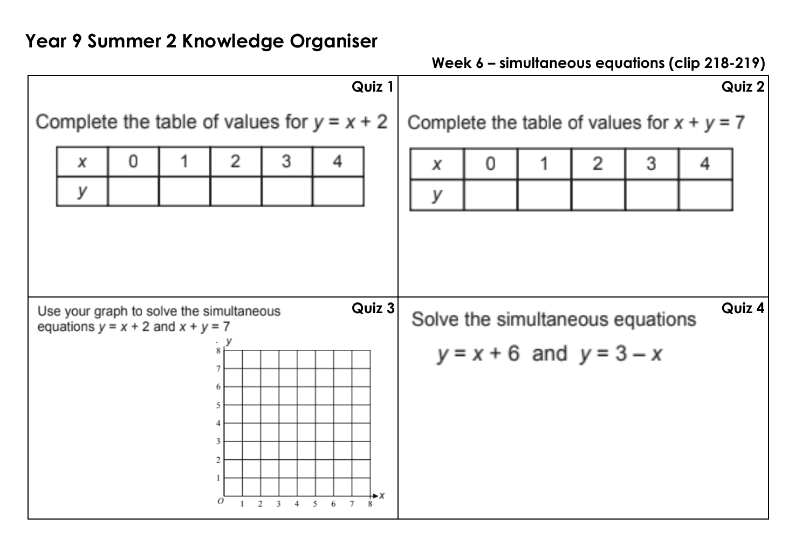